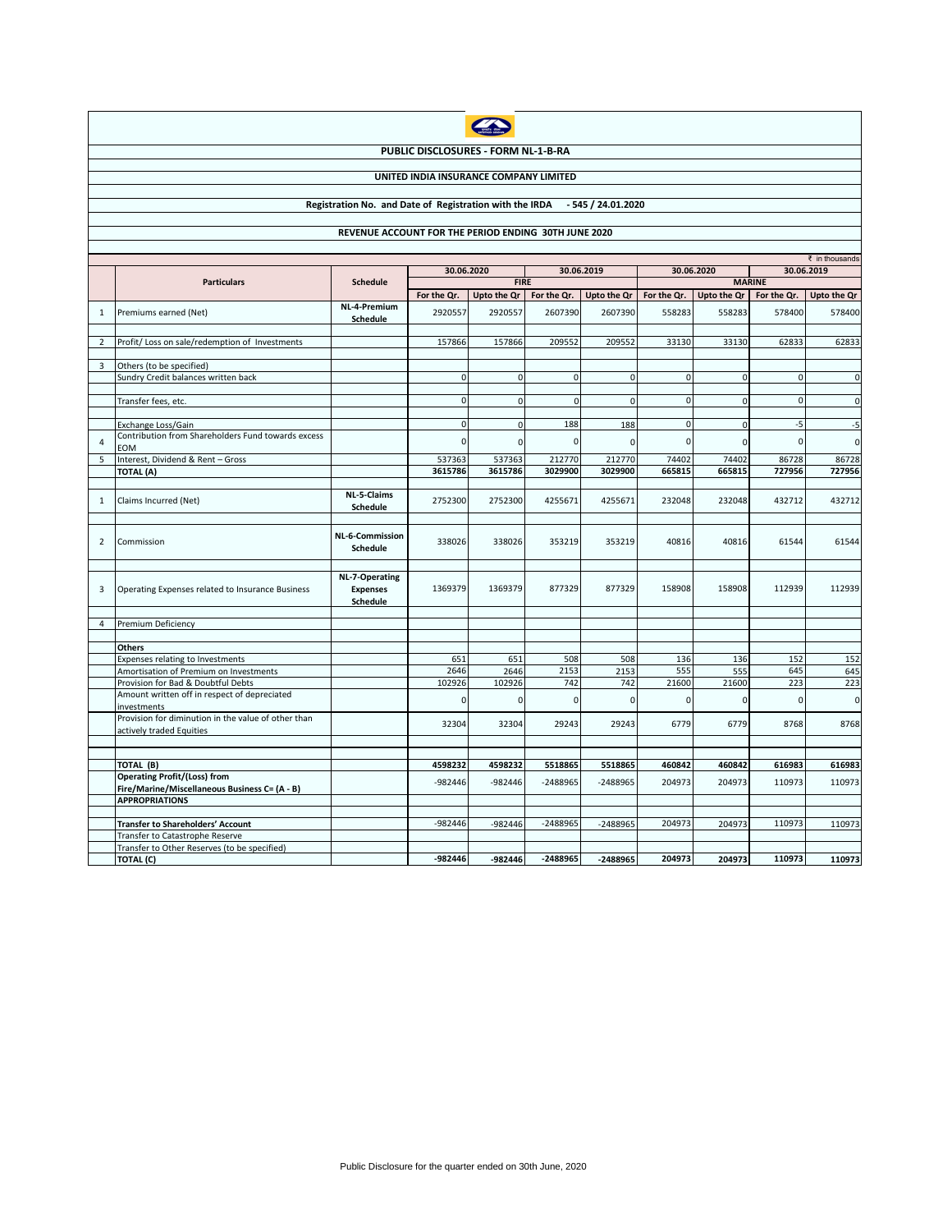| <b>UNITED IAN</b> |  |
|-------------------|--|
|                   |  |

## **PUBLIC DISCLOSURES - FORM NL-1-B-RA**

## **UNITED INDIA INSURANCE COMPANY LIMITED**

## **Registration No. and Date of Registration with the IRDA - 545 / 24.01.2020**

## **REVENUE ACCOUNT FOR THE PERIOD ENDING 30TH JUNE 2020**

|                | $\bar{\tau}$ in thousands                                                            |                                                      |              |             |             |             |             |             |             |               |  |
|----------------|--------------------------------------------------------------------------------------|------------------------------------------------------|--------------|-------------|-------------|-------------|-------------|-------------|-------------|---------------|--|
|                |                                                                                      | <b>Schedule</b>                                      | 30.06.2020   |             | 30.06.2019  |             | 30.06.2020  |             | 30.06.2019  |               |  |
|                | <b>Particulars</b>                                                                   |                                                      | <b>FIRE</b>  |             |             |             |             |             |             | <b>MARINE</b> |  |
|                |                                                                                      |                                                      | For the Qr.  | Upto the Qr | For the Qr. | Upto the Qr | For the Qr. | Upto the Qr | For the Qr. | Upto the Qr   |  |
| 1              | Premiums earned (Net)                                                                | NL-4-Premium<br>Schedule                             | 2920557      | 2920557     | 2607390     | 2607390     | 558283      | 558283      | 578400      | 578400        |  |
|                |                                                                                      |                                                      |              |             |             |             |             |             |             |               |  |
| $\overline{2}$ | Profit/ Loss on sale/redemption of Investments                                       |                                                      | 157866       | 157866      | 209552      | 209552      | 33130       | 33130       | 62833       | 62833         |  |
|                |                                                                                      |                                                      |              |             |             |             |             |             |             |               |  |
| $\overline{3}$ | Others (to be specified)                                                             |                                                      | $\Omega$     | $\Omega$    | $\mathbf 0$ | $\mathbf 0$ | 0           | $\mathbf 0$ | $\Omega$    | $\mathbf{0}$  |  |
|                | Sundry Credit balances written back                                                  |                                                      |              |             |             |             |             |             |             |               |  |
|                | Transfer fees, etc.                                                                  |                                                      | $\Omega$     | $\Omega$    | $\mathbf 0$ | $\mathbf 0$ | $\mathbf 0$ | $\mathbf 0$ | $\Omega$    | $\mathbf 0$   |  |
|                |                                                                                      |                                                      |              |             |             |             |             |             |             |               |  |
|                | Exchange Loss/Gain                                                                   |                                                      | $\mathbf{0}$ | $\mathbf 0$ | 188         | 188         | $\mathbf 0$ | $\mathbf 0$ | $-5$        | $-5$          |  |
|                | Contribution from Shareholders Fund towards excess                                   |                                                      |              |             |             |             |             |             |             |               |  |
| 4              | EOM                                                                                  |                                                      | $\Omega$     | $\Omega$    | $\mathbf 0$ | 0           | $\mathbf 0$ | $\mathbf 0$ | $\Omega$    | $\mathbf 0$   |  |
| 5              | Interest, Dividend & Rent - Gross                                                    |                                                      | 537363       | 537363      | 212770      | 212770      | 74402       | 74402       | 86728       | 86728         |  |
|                | <b>TOTAL (A)</b>                                                                     |                                                      | 3615786      | 3615786     | 3029900     | 3029900     | 665815      | 665815      | 727956      | 727956        |  |
|                |                                                                                      |                                                      |              |             |             |             |             |             |             |               |  |
| 1              | Claims Incurred (Net)                                                                | NL-5-Claims<br>Schedule                              | 2752300      | 2752300     | 4255671     | 4255671     | 232048      | 232048      | 432712      | 432712        |  |
|                |                                                                                      |                                                      |              |             |             |             |             |             |             |               |  |
| $\overline{2}$ | Commission                                                                           | <b>NL-6-Commission</b><br><b>Schedule</b>            | 338026       | 338026      | 353219      | 353219      | 40816       | 40816       | 61544       | 61544         |  |
|                |                                                                                      |                                                      |              |             |             |             |             |             |             |               |  |
| 3              | Operating Expenses related to Insurance Business                                     | NL-7-Operating<br><b>Expenses</b><br><b>Schedule</b> | 1369379      | 1369379     | 877329      | 877329      | 158908      | 158908      | 112939      | 112939        |  |
|                |                                                                                      |                                                      |              |             |             |             |             |             |             |               |  |
| $\overline{4}$ | Premium Deficiency                                                                   |                                                      |              |             |             |             |             |             |             |               |  |
|                |                                                                                      |                                                      |              |             |             |             |             |             |             |               |  |
|                | Others                                                                               |                                                      |              |             |             |             |             |             |             |               |  |
|                | Expenses relating to Investments                                                     |                                                      | 651          | 651         | 508         | 508         | 136         | 136         | 152         | 152           |  |
|                | Amortisation of Premium on Investments                                               |                                                      | 2646         | 2646        | 2153        | 2153        | 555         | 555         | 645         | 645           |  |
|                | Provision for Bad & Doubtful Debts                                                   |                                                      | 102926       | 102926      | 742         | 742         | 21600       | 21600       | 223         | 223           |  |
|                | Amount written off in respect of depreciated<br>investments                          |                                                      | $\Omega$     | $\Omega$    | $\Omega$    | 0           | $\Omega$    | $\mathbf 0$ | $\Omega$    | $\mathbf 0$   |  |
|                | Provision for diminution in the value of other than<br>actively traded Equities      |                                                      | 32304        | 32304       | 29243       | 29243       | 6779        | 6779        | 8768        | 8768          |  |
|                |                                                                                      |                                                      |              |             |             |             |             |             |             |               |  |
|                |                                                                                      |                                                      |              |             |             |             |             |             |             |               |  |
|                | TOTAL (B)                                                                            |                                                      | 4598232      | 4598232     | 5518865     | 5518865     | 460842      | 460842      | 616983      | 616983        |  |
|                | <b>Operating Profit/(Loss) from</b><br>Fire/Marine/Miscellaneous Business C= (A - B) |                                                      | $-982446$    | $-982446$   | -2488965    | -2488965    | 204973      | 204973      | 110973      | 110973        |  |
|                | <b>APPROPRIATIONS</b>                                                                |                                                      |              |             |             |             |             |             |             |               |  |
|                |                                                                                      |                                                      |              |             |             |             |             |             |             |               |  |
|                | <b>Transfer to Shareholders' Account</b>                                             |                                                      | $-982446$    | $-982446$   | -2488965    | -2488965    | 204973      | 204973      | 110973      | 110973        |  |
|                | Transfer to Catastrophe Reserve                                                      |                                                      |              |             |             |             |             |             |             |               |  |
|                | Transfer to Other Reserves (to be specified)                                         |                                                      |              |             |             |             |             |             |             |               |  |
|                | TOTAL (C)                                                                            |                                                      | -982446      | $-982446$   | -2488965    | -2488965    | 204973      | 204973      | 110973      | 110973        |  |